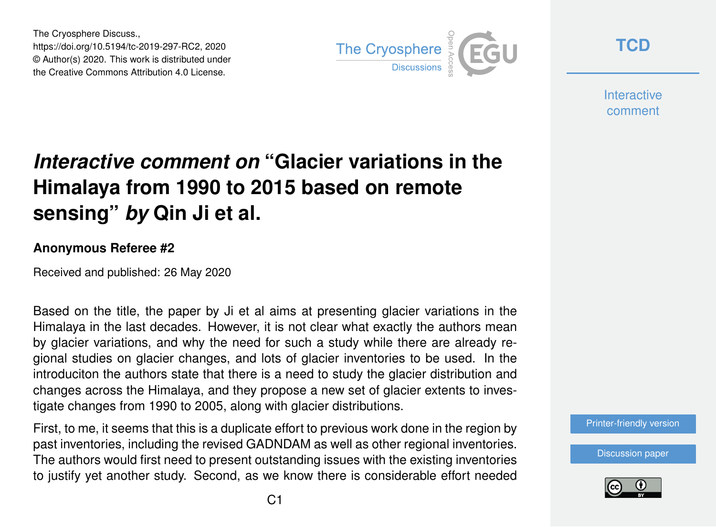The Cryosphere Discuss., https://doi.org/10.5194/tc-2019-297-RC2, 2020 © Author(s) 2020. This work is distributed under the Creative Commons Attribution 4.0 License.



**[TCD](https://www.the-cryosphere-discuss.net/)**

**Interactive** comment

## *Interactive comment on* **"Glacier variations in the Himalaya from 1990 to 2015 based on remote sensing"** *by* **Qin Ji et al.**

## **Anonymous Referee #2**

Received and published: 26 May 2020

Based on the title, the paper by Ji et al aims at presenting glacier variations in the Himalaya in the last decades. However, it is not clear what exactly the authors mean by glacier variations, and why the need for such a study while there are already regional studies on glacier changes, and lots of glacier inventories to be used. In the introduciton the authors state that there is a need to study the glacier distribution and changes across the Himalaya, and they propose a new set of glacier extents to investigate changes from 1990 to 2005, along with glacier distributions.

First, to me, it seems that this is a duplicate effort to previous work done in the region by past inventories, including the revised GADNDAM as well as other regional inventories. The authors would first need to present outstanding issues with the existing inventories to justify yet another study. Second, as we know there is considerable effort needed

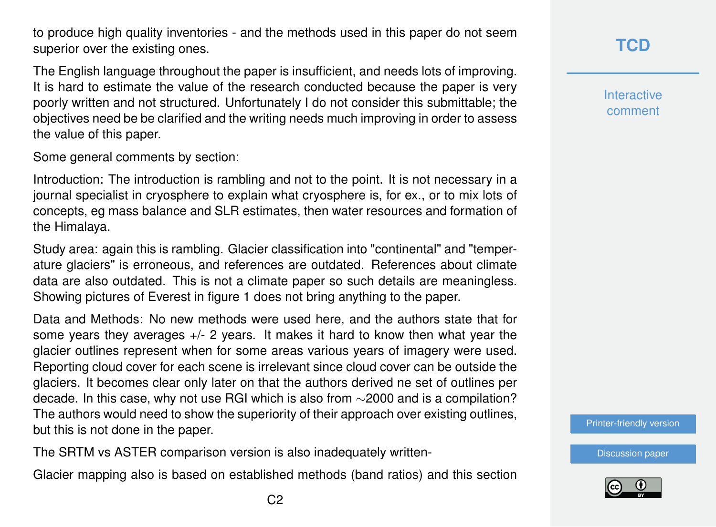to produce high quality inventories - and the methods used in this paper do not seem superior over the existing ones.

The English language throughout the paper is insufficient, and needs lots of improving. It is hard to estimate the value of the research conducted because the paper is very poorly written and not structured. Unfortunately I do not consider this submittable; the objectives need be be clarified and the writing needs much improving in order to assess the value of this paper.

Some general comments by section:

Introduction: The introduction is rambling and not to the point. It is not necessary in a journal specialist in cryosphere to explain what cryosphere is, for ex., or to mix lots of concepts, eg mass balance and SLR estimates, then water resources and formation of the Himalaya.

Study area: again this is rambling. Glacier classification into "continental" and "temperature glaciers" is erroneous, and references are outdated. References about climate data are also outdated. This is not a climate paper so such details are meaningless. Showing pictures of Everest in figure 1 does not bring anything to the paper.

Data and Methods: No new methods were used here, and the authors state that for some years they averages  $+/-$  2 years. It makes it hard to know then what year the glacier outlines represent when for some areas various years of imagery were used. Reporting cloud cover for each scene is irrelevant since cloud cover can be outside the glaciers. It becomes clear only later on that the authors derived ne set of outlines per decade. In this case, why not use RGI which is also from ∼2000 and is a compilation? The authors would need to show the superiority of their approach over existing outlines, but this is not done in the paper.

The SRTM vs ASTER comparison version is also inadequately written-

Glacier mapping also is based on established methods (band ratios) and this section

**Interactive** comment

[Printer-friendly version](https://www.the-cryosphere-discuss.net/tc-2019-297/tc-2019-297-RC2-print.pdf)

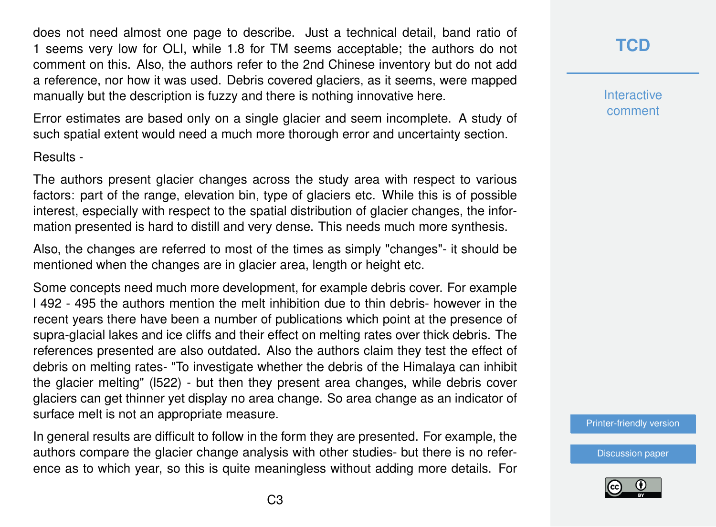does not need almost one page to describe. Just a technical detail, band ratio of 1 seems very low for OLI, while 1.8 for TM seems acceptable; the authors do not comment on this. Also, the authors refer to the 2nd Chinese inventory but do not add a reference, nor how it was used. Debris covered glaciers, as it seems, were mapped manually but the description is fuzzy and there is nothing innovative here.

Error estimates are based only on a single glacier and seem incomplete. A study of such spatial extent would need a much more thorough error and uncertainty section.

Results -

The authors present glacier changes across the study area with respect to various factors: part of the range, elevation bin, type of glaciers etc. While this is of possible interest, especially with respect to the spatial distribution of glacier changes, the information presented is hard to distill and very dense. This needs much more synthesis.

Also, the changes are referred to most of the times as simply "changes"- it should be mentioned when the changes are in glacier area, length or height etc.

Some concepts need much more development, for example debris cover. For example l 492 - 495 the authors mention the melt inhibition due to thin debris- however in the recent years there have been a number of publications which point at the presence of supra-glacial lakes and ice cliffs and their effect on melting rates over thick debris. The references presented are also outdated. Also the authors claim they test the effect of debris on melting rates- "To investigate whether the debris of the Himalaya can inhibit the glacier melting" (l522) - but then they present area changes, while debris cover glaciers can get thinner yet display no area change. So area change as an indicator of surface melt is not an appropriate measure.

In general results are difficult to follow in the form they are presented. For example, the authors compare the glacier change analysis with other studies- but there is no reference as to which year, so this is quite meaningless without adding more details. For **[TCD](https://www.the-cryosphere-discuss.net/)**

**Interactive** comment

[Printer-friendly version](https://www.the-cryosphere-discuss.net/tc-2019-297/tc-2019-297-RC2-print.pdf)